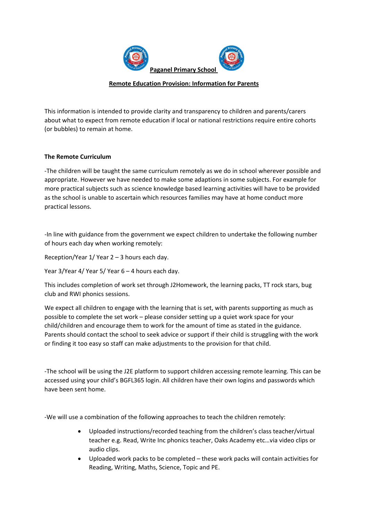

## **Remote Education Provision: Information for Parents**

This information is intended to provide clarity and transparency to children and parents/carers about what to expect from remote education if local or national restrictions require entire cohorts (or bubbles) to remain at home.

## **The Remote Curriculum**

‐The children will be taught the same curriculum remotely as we do in school wherever possible and appropriate. However we have needed to make some adaptions in some subjects. For example for more practical subjects such as science knowledge based learning activities will have to be provided as the school is unable to ascertain which resources families may have at home conduct more practical lessons.

‐In line with guidance from the government we expect children to undertake the following number of hours each day when working remotely:

Reception/Year 1/ Year 2 – 3 hours each day.

Year 3/Year 4/ Year 5/ Year 6 – 4 hours each day.

This includes completion of work set through J2Homework, the learning packs, TT rock stars, bug club and RWI phonics sessions.

We expect all children to engage with the learning that is set, with parents supporting as much as possible to complete the set work – please consider setting up a quiet work space for your child/children and encourage them to work for the amount of time as stated in the guidance. Parents should contact the school to seek advice or support if their child is struggling with the work or finding it too easy so staff can make adjustments to the provision for that child.

‐The school will be using the J2E platform to support children accessing remote learning. This can be accessed using your child's BGFL365 login. All children have their own logins and passwords which have been sent home.

‐We will use a combination of the following approaches to teach the children remotely:

- Uploaded instructions/recorded teaching from the children's class teacher/virtual teacher e.g. Read, Write Inc phonics teacher, Oaks Academy etc…via video clips or audio clips.
- Uploaded work packs to be completed these work packs will contain activities for Reading, Writing, Maths, Science, Topic and PE.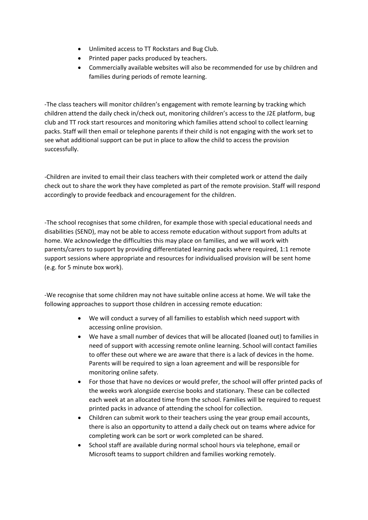- Unlimited access to TT Rockstars and Bug Club.
- Printed paper packs produced by teachers.
- Commercially available websites will also be recommended for use by children and families during periods of remote learning.

‐The class teachers will monitor children's engagement with remote learning by tracking which children attend the daily check in/check out, monitoring children's access to the J2E platform, bug club and TT rock start resources and monitoring which families attend school to collect learning packs. Staff will then email or telephone parents if their child is not engaging with the work set to see what additional support can be put in place to allow the child to access the provision successfully.

‐Children are invited to email their class teachers with their completed work or attend the daily check out to share the work they have completed as part of the remote provision. Staff will respond accordingly to provide feedback and encouragement for the children.

‐The school recognises that some children, for example those with special educational needs and disabilities (SEND), may not be able to access remote education without support from adults at home. We acknowledge the difficulties this may place on families, and we will work with parents/carers to support by providing differentiated learning packs where required, 1:1 remote support sessions where appropriate and resources for individualised provision will be sent home (e.g. for 5 minute box work).

‐We recognise that some children may not have suitable online access at home. We will take the following approaches to support those children in accessing remote education:

- We will conduct a survey of all families to establish which need support with accessing online provision.
- We have a small number of devices that will be allocated (loaned out) to families in need of support with accessing remote online learning. School will contact families to offer these out where we are aware that there is a lack of devices in the home. Parents will be required to sign a loan agreement and will be responsible for monitoring online safety.
- For those that have no devices or would prefer, the school will offer printed packs of the weeks work alongside exercise books and stationary. These can be collected each week at an allocated time from the school. Families will be required to request printed packs in advance of attending the school for collection.
- Children can submit work to their teachers using the year group email accounts, there is also an opportunity to attend a daily check out on teams where advice for completing work can be sort or work completed can be shared.
- School staff are available during normal school hours via telephone, email or Microsoft teams to support children and families working remotely.